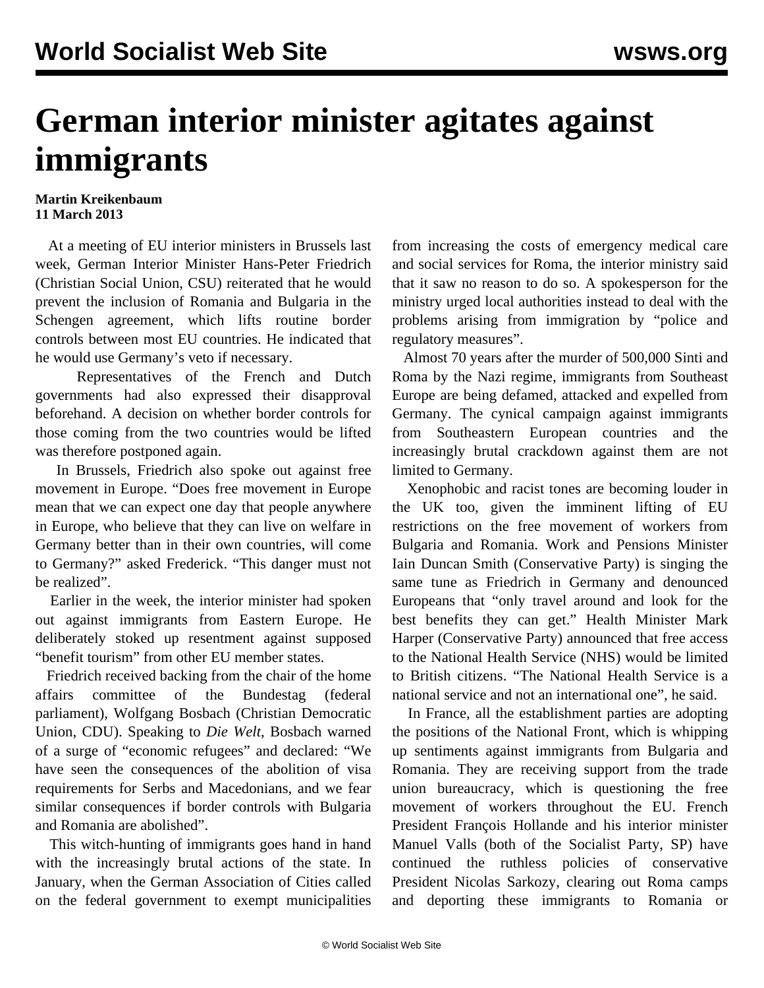## **German interior minister agitates against immigrants**

## **Martin Kreikenbaum 11 March 2013**

 At a meeting of EU interior ministers in Brussels last week, German Interior Minister Hans-Peter Friedrich (Christian Social Union, CSU) reiterated that he would prevent the inclusion of Romania and Bulgaria in the Schengen agreement, which lifts routine border controls between most EU countries. He indicated that he would use Germany's veto if necessary.

 Representatives of the French and Dutch governments had also expressed their disapproval beforehand. A decision on whether border controls for those coming from the two countries would be lifted was therefore postponed again.

 In Brussels, Friedrich also spoke out against free movement in Europe. "Does free movement in Europe mean that we can expect one day that people anywhere in Europe, who believe that they can live on welfare in Germany better than in their own countries, will come to Germany?" asked Frederick. "This danger must not be realized".

 Earlier in the week, the interior minister had spoken out against immigrants from Eastern Europe. He deliberately stoked up resentment against supposed "benefit tourism" from other EU member states.

 Friedrich received backing from the chair of the home affairs committee of the Bundestag (federal parliament), Wolfgang Bosbach (Christian Democratic Union, CDU). Speaking to *Die Welt*, Bosbach warned of a surge of "economic refugees" and declared: "We have seen the consequences of the abolition of visa requirements for Serbs and Macedonians, and we fear similar consequences if border controls with Bulgaria and Romania are abolished".

 This witch-hunting of immigrants goes hand in hand with the increasingly brutal actions of the state. In January, when the German Association of Cities called on the federal government to exempt municipalities

from increasing the costs of emergency medical care and social services for Roma, the interior ministry said that it saw no reason to do so. A spokesperson for the ministry urged local authorities instead to deal with the problems arising from immigration by "police and regulatory measures".

 Almost 70 years after the murder of 500,000 Sinti and Roma by the Nazi regime, immigrants from Southeast Europe are being defamed, attacked and expelled from Germany. The cynical campaign against immigrants from Southeastern European countries and the increasingly brutal crackdown against them are not limited to Germany.

 Xenophobic and racist tones are becoming louder in the UK too, given the imminent lifting of EU restrictions on the free movement of workers from Bulgaria and Romania. Work and Pensions Minister Iain Duncan Smith (Conservative Party) is singing the same tune as Friedrich in Germany and denounced Europeans that "only travel around and look for the best benefits they can get." Health Minister Mark Harper (Conservative Party) announced that free access to the National Health Service (NHS) would be limited to British citizens. "The National Health Service is a national service and not an international one", he said.

 In France, all the establishment parties are adopting the positions of the National Front, which is whipping up sentiments against immigrants from Bulgaria and Romania. They are receiving support from the trade union bureaucracy, which is questioning the free movement of workers throughout the EU. French President François Hollande and his interior minister Manuel Valls (both of the Socialist Party, SP) have continued the ruthless policies of conservative President Nicolas Sarkozy, clearing out Roma camps and deporting these immigrants to Romania or